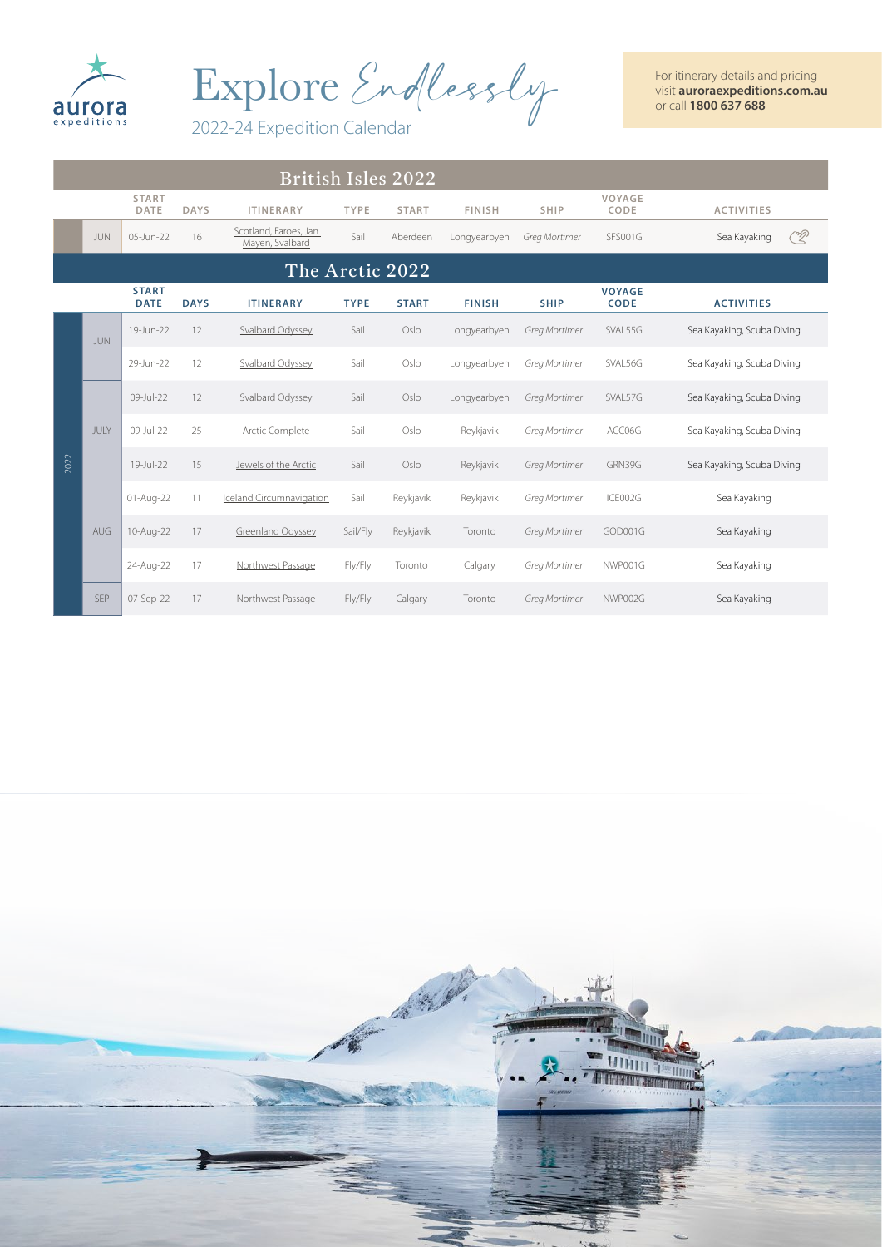

Explore Endlessly

2022-24 Expedition Calendar

| <b>British Isles 2022</b> |            |                             |             |                                          |             |                 |               |               |                              |                            |
|---------------------------|------------|-----------------------------|-------------|------------------------------------------|-------------|-----------------|---------------|---------------|------------------------------|----------------------------|
|                           |            | <b>START</b><br>DATE        | <b>DAYS</b> | <b>ITINERARY</b>                         | TYPE        | <b>START</b>    | <b>FINISH</b> | <b>SHIP</b>   | VOYAGE<br>CODE               | <b>ACTIVITIES</b>          |
|                           | <b>JUN</b> | 05-Jun-22                   | 16          | Scotland, Faroes, Jan<br>Mayen, Svalbard | Sail        | Aberdeen        | Longyearbyen  | Greg Mortimer | <b>SFS001G</b>               | <u>R</u><br>Sea Kayaking   |
|                           |            |                             |             |                                          |             | The Arctic 2022 |               |               |                              |                            |
|                           |            | <b>START</b><br><b>DATE</b> | <b>DAYS</b> | <b>ITINERARY</b>                         | <b>TYPE</b> | <b>START</b>    | <b>FINISH</b> | <b>SHIP</b>   | <b>VOYAGE</b><br><b>CODE</b> | <b>ACTIVITIES</b>          |
|                           | <b>JUN</b> | 19-Jun-22                   | 12          | Svalbard Odyssey                         | Sail        | Oslo            | Longyearbyen  | Greg Mortimer | SVAL55G                      | Sea Kayaking, Scuba Diving |
|                           |            | 29-Jun-22                   | 12          | Svalbard Odyssey                         | Sail        | Oslo            | Longyearbyen  | Greg Mortimer | SVAL56G                      | Sea Kayaking, Scuba Diving |
|                           |            | 09-Jul-22                   | 12          | Svalbard Odyssey                         | Sail        | Oslo            | Longyearbyen  | Greg Mortimer | SVAL57G                      | Sea Kayaking, Scuba Diving |
|                           | JULY       | 09-Jul-22                   | 25          | <b>Arctic Complete</b>                   | Sail        | Oslo            | Reykjavik     | Greg Mortimer | ACC06G                       | Sea Kayaking, Scuba Diving |
| 2022                      |            | 19-Jul-22                   | 15          | Jewels of the Arctic                     | Sail        | Oslo            | Reykjavik     | Greg Mortimer | GRN39G                       | Sea Kayaking, Scuba Diving |
|                           |            | 01-Aug-22                   | 11          | <b>Iceland Circumnavigation</b>          | Sail        | Reykjavik       | Reykjavik     | Greg Mortimer | ICE002G                      | Sea Kayaking               |
|                           | AUG        | 10-Aug-22                   | 17          | Greenland Odyssey                        | Sail/Fly    | Reykjavik       | Toronto       | Greg Mortimer | GOD001G                      | Sea Kayaking               |
|                           |            | 24-Aug-22                   | 17          | Northwest Passage                        | Fly/Fly     | Toronto         | Calgary       | Greg Mortimer | NWP001G                      | Sea Kayaking               |
|                           | <b>SEP</b> | 07-Sep-22                   | 17          | Northwest Passage                        | Fly/Fly     | Calgary         | Toronto       | Greg Mortimer | NWP002G                      | Sea Kayaking               |

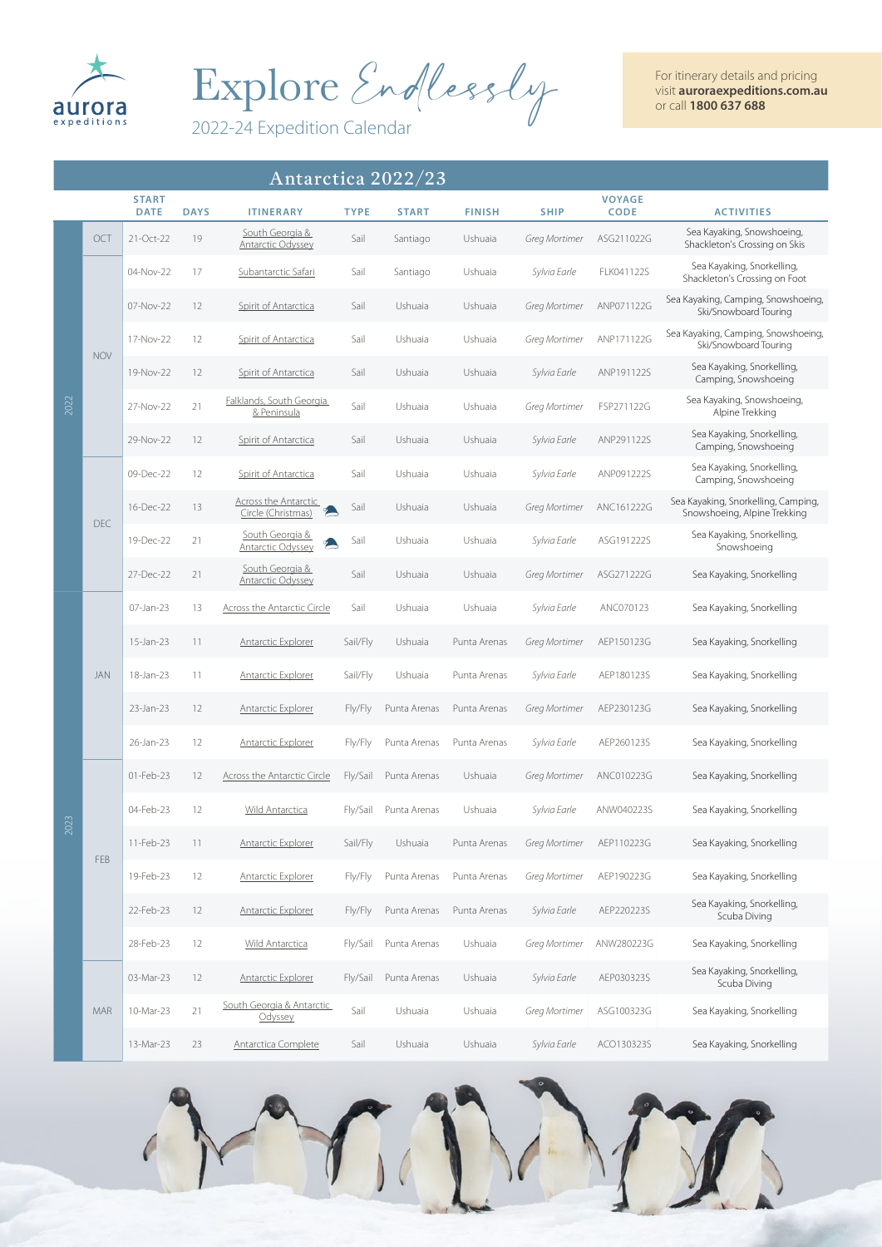

Explore Endlessly

2022-24 Expedition Calendar

|      | Antarctica 2022/23 |                             |             |                                                   |             |              |               |                      |                              |                                                                     |
|------|--------------------|-----------------------------|-------------|---------------------------------------------------|-------------|--------------|---------------|----------------------|------------------------------|---------------------------------------------------------------------|
|      |                    | <b>START</b><br><b>DATE</b> | <b>DAYS</b> | <b>ITINERARY</b>                                  | <b>TYPE</b> | <b>START</b> | <b>FINISH</b> | <b>SHIP</b>          | <b>VOYAGE</b><br><b>CODE</b> | <b>ACTIVITIES</b>                                                   |
|      | OCT                | 21-Oct-22                   | 19          | South Georgia &<br><b>Antarctic Odyssey</b>       | Sail        | Santiago     | Ushuaia       | Greg Mortimer        | ASG211022G                   | Sea Kayaking, Snowshoeing,<br>Shackleton's Crossing on Skis         |
|      |                    | 04-Nov-22                   | 17          | Subantarctic Safari                               | Sail        | Santiago     | Ushuaia       | Sylvia Earle         | FLK041122S                   | Sea Kayaking, Snorkelling,<br>Shackleton's Crossing on Foot         |
|      |                    | 07-Nov-22                   | 12          | Spirit of Antarctica                              | Sail        | Ushuaia      | Ushuaia       | Greg Mortimer        | ANP071122G                   | Sea Kayaking, Camping, Snowshoeing,<br>Ski/Snowboard Touring        |
|      |                    | 17-Nov-22                   | 12          | Spirit of Antarctica                              | Sail        | Ushuaia      | Ushuaia       | Greg Mortimer        | ANP171122G                   | Sea Kayaking, Camping, Snowshoeing,<br>Ski/Snowboard Touring        |
|      | <b>NOV</b>         | 19-Nov-22                   | 12          | Spirit of Antarctica                              | Sail        | Ushuaia      | Ushuaia       | Sylvia Earle         | ANP191122S                   | Sea Kayaking, Snorkelling,<br>Camping, Snowshoeing                  |
| 2022 |                    | 27-Nov-22                   | 21          | Falklands, South Georgia<br>& Peninsula           | Sail        | Ushuaia      | Ushuaia       | Greg Mortimer        | FSP271122G                   | Sea Kayaking, Snowshoeing,<br>Alpine Trekking                       |
|      |                    | 29-Nov-22                   | 12          | Spirit of Antarctica                              | Sail        | Ushuaia      | Ushuaia       | Sylvia Earle         | ANP291122S                   | Sea Kayaking, Snorkelling,<br>Camping, Snowshoeing                  |
|      |                    | 09-Dec-22                   | 12          | Spirit of Antarctica                              | Sail        | Ushuaia      | Ushuaia       | Sylvia Earle         | ANP091222S                   | Sea Kayaking, Snorkelling,<br>Camping, Snowshoeing                  |
|      | DEC                | 16-Dec-22                   | 13          | <b>Across the Antarctic</b><br>Circle (Christmas) | Sail        | Ushuaia      | Ushuaia       | Greg Mortimer        | ANC161222G                   | Sea Kayaking, Snorkelling, Camping,<br>Snowshoeing, Alpine Trekking |
|      |                    | 19-Dec-22                   | 21          | South Georgia &<br>Antarctic Odyssey              | Sail        | Ushuaia      | Ushuaia       | Sylvia Earle         | ASG191222S                   | Sea Kayaking, Snorkelling,<br>Snowshoeing                           |
|      |                    | 27-Dec-22                   | 21          | South Georgia &<br><b>Antarctic Odyssey</b>       | Sail        | Ushuaia      | Ushuaia       | Greg Mortimer        | ASG271222G                   | Sea Kayaking, Snorkelling                                           |
|      |                    | 07-Jan-23                   | 13          | <b>Across the Antarctic Circle</b>                | Sail        | Ushuaia      | Ushuaia       | Sylvia Earle         | ANC070123                    | Sea Kayaking, Snorkelling                                           |
|      |                    | 15-Jan-23                   | 11          | <b>Antarctic Explorer</b>                         | Sail/Fly    | Ushuaia      | Punta Arenas  | Greg Mortimer        | AEP150123G                   | Sea Kayaking, Snorkelling                                           |
|      | JAN                | 18-Jan-23                   | 11          | <b>Antarctic Explorer</b>                         | Sail/Fly    | Ushuaia      | Punta Arenas  | Sylvia Earle         | AEP180123S                   | Sea Kayaking, Snorkelling                                           |
|      |                    | 23-Jan-23                   | 12          | <b>Antarctic Explorer</b>                         | Fly/Fly     | Punta Arenas | Punta Arenas  | <b>Greg Mortimer</b> | AEP230123G                   | Sea Kayaking, Snorkelling                                           |
|      |                    | 26-Jan-23                   | 12          | <b>Antarctic Explorer</b>                         | Fly/Fly     | Punta Arenas | Punta Arenas  | Sylvia Earle         | AEP260123S                   | Sea Kayaking, Snorkelling                                           |
|      |                    | 01-Feb-23                   | 12          | Across the Antarctic Circle                       | Fly/Sail    | Punta Arenas | Ushuaia       | Greg Mortimer        | ANC010223G                   | Sea Kayaking, Snorkelling                                           |
| 2023 |                    | 04-Feb-23                   | 12          | Wild Antarctica                                   | Fly/Sail    | Punta Arenas | Ushuaia       | Sylvia Earle         | ANW040223S                   | Sea Kayaking, Snorkelling                                           |
|      | FEB                | 11-Feb-23                   | 11          | <b>Antarctic Explorer</b>                         | Sail/Fly    | Ushuaia      | Punta Arenas  | Greg Mortimer        | AEP110223G                   | Sea Kayaking, Snorkelling                                           |
|      |                    | 19-Feb-23                   | 12          | Antarctic Explorer                                | Fly/Fly     | Punta Arenas | Punta Arenas  | Greg Mortimer        | AEP190223G                   | Sea Kayaking, Snorkelling                                           |
|      |                    | 22-Feb-23                   | 12          | <b>Antarctic Explorer</b>                         | Fly/Fly     | Punta Arenas | Punta Arenas  | Sylvia Earle         | AEP220223S                   | Sea Kayaking, Snorkelling,<br>Scuba Diving                          |
|      |                    | 28-Feb-23                   | 12          | <b>Wild Antarctica</b>                            | Fly/Sail    | Punta Arenas | Ushuaia       | Greg Mortimer        | ANW280223G                   | Sea Kayaking, Snorkelling                                           |
|      |                    | 03-Mar-23                   | 12          | <b>Antarctic Explorer</b>                         | Fly/Sail    | Punta Arenas | Ushuaia       | Sylvia Earle         | AEP030323S                   | Sea Kayaking, Snorkelling,<br>Scuba Diving                          |
|      | MAR                | 10-Mar-23                   | 21          | South Georgia & Antarctic<br>Odyssey              | Sail        | Ushuaia      | Ushuaia       | Greg Mortimer        | ASG100323G                   | Sea Kayaking, Snorkelling                                           |
|      |                    | 13-Mar-23                   | 23          | Antarctica Complete                               | Sail        | Ushuaia      | Ushuaia       | Sylvia Earle         | ACO130323S                   | Sea Kayaking, Snorkelling                                           |

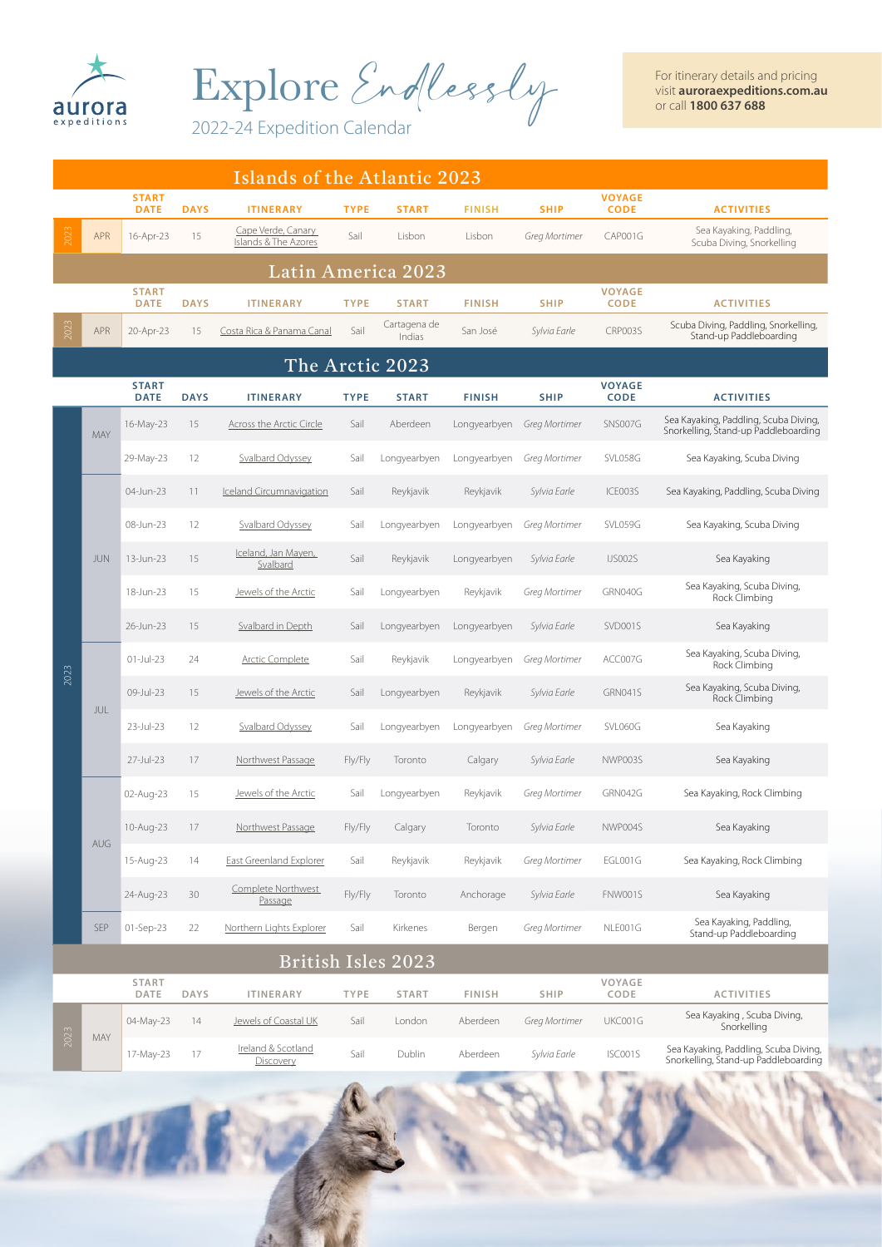

Explore Endlessly

2022-24 Expedition Calendar

|      | Islands of the Atlantic 2023 |                             |             |                                            |             |                        |               |               |                              |                                                                               |  |
|------|------------------------------|-----------------------------|-------------|--------------------------------------------|-------------|------------------------|---------------|---------------|------------------------------|-------------------------------------------------------------------------------|--|
|      |                              | <b>START</b><br><b>DATE</b> | <b>DAYS</b> | <b>ITINERARY</b>                           | <b>TYPE</b> | <b>START</b>           | <b>FINISH</b> | <b>SHIP</b>   | <b>VOYAGE</b><br><b>CODE</b> | <b>ACTIVITIES</b>                                                             |  |
| 2023 | <b>APR</b>                   | 16-Apr-23                   | 15          | Cape Verde, Canary<br>Islands & The Azores | Sail        | Lisbon                 | Lisbon        | Greg Mortimer | CAP001G                      | Sea Kayaking, Paddling,<br>Scuba Diving, Snorkelling                          |  |
|      |                              |                             |             |                                            |             | Latin America 2023     |               |               |                              |                                                                               |  |
|      |                              | <b>START</b><br><b>DATE</b> | <b>DAYS</b> | <b>ITINERARY</b>                           | <b>TYPE</b> | <b>START</b>           | <b>FINISH</b> | <b>SHIP</b>   | <b>VOYAGE</b><br><b>CODE</b> | <b>ACTIVITIES</b>                                                             |  |
| 203  | <b>APR</b>                   | 20-Apr-23                   | 15          | Costa Rica & Panama Canal                  | Sail        | Cartagena de<br>Indias | San José      | Sylvia Earle  | CRP003S                      | Scuba Diving, Paddling, Snorkelling,<br>Stand-up Paddleboarding               |  |
|      |                              |                             |             |                                            |             | The Arctic 2023        |               |               |                              |                                                                               |  |
|      |                              | <b>START</b><br><b>DATE</b> | <b>DAYS</b> | <b>ITINERARY</b>                           | <b>TYPE</b> | <b>START</b>           | <b>FINISH</b> | <b>SHIP</b>   | <b>VOYAGE</b><br><b>CODE</b> | <b>ACTIVITIES</b>                                                             |  |
|      | MAY                          | 16-May-23                   | 15          | <b>Across the Arctic Circle</b>            | Sail        | Aberdeen               | Longyearbyen  | Greg Mortimer | <b>SNS007G</b>               | Sea Kayaking, Paddling, Scuba Diving,<br>Snorkelling, Stand-up Paddleboarding |  |
|      |                              | 29-May-23                   | 12          | Svalbard Odyssey                           | Sail        | Longyearbyen           | Longyearbyen  | Greg Mortimer | SVL058G                      | Sea Kayaking, Scuba Diving                                                    |  |
|      |                              | 04-Jun-23                   | 11          | Iceland Circumnavigation                   | Sail        | Reykjavik              | Reykjavik     | Sylvia Earle  | ICE003S                      | Sea Kayaking, Paddling, Scuba Diving                                          |  |
|      |                              | 08-Jun-23                   | 12          | Svalbard Odyssey                           | Sail        | Longyearbyen           | Longyearbyen  | Greg Mortimer | SVL059G                      | Sea Kayaking, Scuba Diving                                                    |  |
|      | <b>JUN</b>                   | 13-Jun-23                   | 15          | Iceland, Jan Mayen,<br>Svalbard            | Sail        | Reykjavik              | Longyearbyen  | Sylvia Earle  | <b>IJS002S</b>               | Sea Kayaking                                                                  |  |
|      |                              | 18-Jun-23                   | 15          | Jewels of the Arctic                       | Sail        | Longyearbyen           | Reykjavik     | Greg Mortimer | GRN040G                      | Sea Kayaking, Scuba Diving,<br>Rock Climbing                                  |  |
|      |                              | 26-Jun-23                   | 15          | <b>Svalbard in Depth</b>                   | Sail        | Longyearbyen           | Longyearbyen  | Sylvia Earle  | SVD001S                      | Sea Kayaking                                                                  |  |
| 2023 | JUL                          | $01$ -Jul-23                | 24          | Arctic Complete                            | Sail        | Reykjavik              | Longyearbyen  | Greg Mortimer | ACC007G                      | Sea Kayaking, Scuba Diving,<br>Rock Climbing                                  |  |
|      |                              | 09-Jul-23                   | 15          | Jewels of the Arctic                       | Sail        | Longyearbyen           | Reykjavik     | Sylvia Earle  | GRN041S                      | Sea Kayaking, Scuba Diving,<br>Rock Climbing                                  |  |
|      |                              | 23-Jul-23                   | 12          | Svalbard Odyssey                           | Sail        | Longyearbyen           | Longyearbyen  | Greg Mortimer | SVL060G                      | Sea Kayaking                                                                  |  |
|      |                              | 27-Jul-23                   | 17          | Northwest Passage                          | Fly/Fly     | Toronto                | Calgary       | Sylvia Earle  | NWP003S                      | Sea Kayaking                                                                  |  |
|      |                              | 02-Aug-23                   | 15          | Jewels of the Arctic                       | Sail        | Longyearbyen           | Reykjavik     | Greg Mortimer | GRN042G                      | Sea Kayaking, Rock Climbing                                                   |  |
|      | AUG                          | 10-Aug-23                   | 17          | Northwest Passage                          | Fly/Fly     | Calgary                | Toronto       | Sylvia Earle  | NWP004S                      | Sea Kayaking                                                                  |  |
|      |                              | 15-Aug-23                   | 14          | East Greenland Explorer                    | Sail        | Reykjavik              | Reykjavik     | Greg Mortimer | EGL001G                      | Sea Kayaking, Rock Climbing                                                   |  |
|      |                              | 24-Aug-23                   | 30          | Complete Northwest<br>Passage              | Fly/Fly     | Toronto                | Anchorage     | Sylvia Earle  | FNW001S                      | Sea Kayaking                                                                  |  |
|      | <b>SEP</b>                   | 01-Sep-23                   | 22          | Northern Lights Explorer                   | Sail        | Kirkenes               | Bergen        | Greg Mortimer | NLE001G                      | Sea Kayaking, Paddling,<br>Stand-up Paddleboarding                            |  |
|      |                              |                             |             |                                            |             | British Isles 2023     |               |               |                              |                                                                               |  |
|      |                              | <b>START</b><br>DATE        | <b>DAYS</b> | <b>ITINERARY</b>                           | TYPE        | START                  | <b>FINISH</b> | SHIP          | VOYAGE<br>CODE               | <b>ACTIVITIES</b>                                                             |  |
| 2023 |                              | 04-May-23                   | 14          | <b>Jewels of Coastal UK</b>                | Sail        | London                 | Aberdeen      | Greg Mortimer | UKC001G                      | Sea Kayaking, Scuba Diving,<br>Snorkelling                                    |  |
|      | MAY                          | 17-May-23                   | 17          | Ireland & Scotland<br><b>Discovery</b>     | Sail        | Dublin                 | Aberdeen      | Sylvia Earle  | ISC001S                      | Sea Kayaking, Paddling, Scuba Diving,<br>Snorkelling, Stand-up Paddleboarding |  |
|      |                              |                             |             |                                            |             |                        |               |               |                              | <b>STATISTICS</b>                                                             |  |